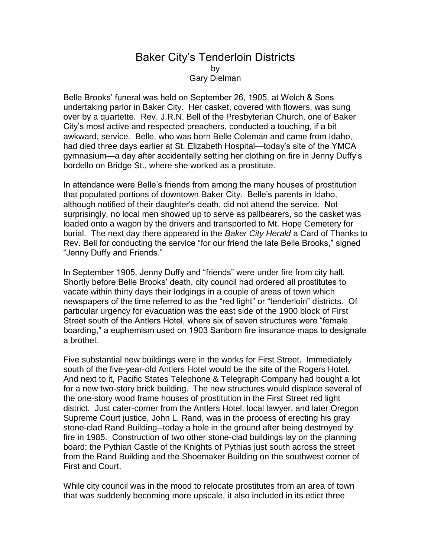## Baker City's Tenderloin Districts by Gary Dielman

Belle Brooks' funeral was held on September 26, 1905, at Welch & Sons undertaking parlor in Baker City. Her casket, covered with flowers, was sung over by a quartette. Rev. J.R.N. Bell of the Presbyterian Church, one of Baker City's most active and respected preachers, conducted a touching, if a bit awkward, service. Belle, who was born Belle Coleman and came from Idaho, had died three days earlier at St. Elizabeth Hospital—today's site of the YMCA gymnasium—a day after accidentally setting her clothing on fire in Jenny Duffy's bordello on Bridge St., where she worked as a prostitute.

In attendance were Belle's friends from among the many houses of prostitution that populated portions of downtown Baker City. Belle's parents in Idaho, although notified of their daughter's death, did not attend the service. Not surprisingly, no local men showed up to serve as pallbearers, so the casket was loaded onto a wagon by the drivers and transported to Mt. Hope Cemetery for burial. The next day there appeared in the *Baker City Herald* a Card of Thanks to Rev. Bell for conducting the service "for our friend the late Belle Brooks," signed "Jenny Duffy and Friends."

In September 1905, Jenny Duffy and "friends" were under fire from city hall. Shortly before Belle Brooks' death, city council had ordered all prostitutes to vacate within thirty days their lodgings in a couple of areas of town which newspapers of the time referred to as the "red light" or "tenderloin" districts. Of particular urgency for evacuation was the east side of the 1900 block of First Street south of the Antlers Hotel, where six of seven structures were "female boarding," a euphemism used on 1903 Sanborn fire insurance maps to designate a brothel.

Five substantial new buildings were in the works for First Street. Immediately south of the five-year-old Antlers Hotel would be the site of the Rogers Hotel. And next to it, Pacific States Telephone & Telegraph Company had bought a lot for a new two-story brick building. The new structures would displace several of the one-story wood frame houses of prostitution in the First Street red light district. Just cater-corner from the Antlers Hotel, local lawyer, and later Oregon Supreme Court justice, John L. Rand, was in the process of erecting his gray stone-clad Rand Building--today a hole in the ground after being destroyed by fire in 1985. Construction of two other stone-clad buildings lay on the planning board: the Pythian Castle of the Knights of Pythias just south across the street from the Rand Building and the Shoemaker Building on the southwest corner of First and Court.

While city council was in the mood to relocate prostitutes from an area of town that was suddenly becoming more upscale, it also included in its edict three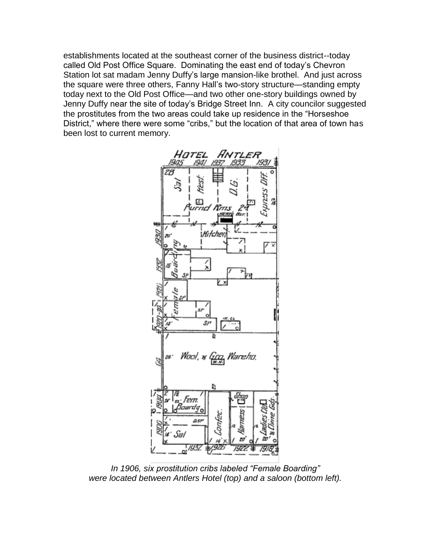establishments located at the southeast corner of the business district--today called Old Post Office Square. Dominating the east end of today's Chevron Station lot sat madam Jenny Duffy's large mansion-like brothel. And just across the square were three others, Fanny Hall's two-story structure—standing empty today next to the Old Post Office—and two other one-story buildings owned by Jenny Duffy near the site of today's Bridge Street Inn. A city councilor suggested the prostitutes from the two areas could take up residence in the "Horseshoe District," where there were some "cribs," but the location of that area of town has been lost to current memory.



*In 1906, six prostitution cribs labeled "Female Boarding" were located between Antlers Hotel (top) and a saloon (bottom left).*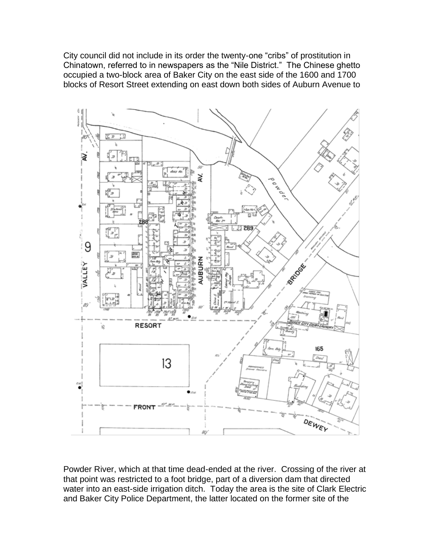City council did not include in its order the twenty-one "cribs" of prostitution in Chinatown, referred to in newspapers as the "Nile District." The Chinese ghetto occupied a two-block area of Baker City on the east side of the 1600 and 1700 blocks of Resort Street extending on east down both sides of Auburn Avenue to



Powder River, which at that time dead-ended at the river. Crossing of the river at that point was restricted to a foot bridge, part of a diversion dam that directed water into an east-side irrigation ditch. Today the area is the site of Clark Electric and Baker City Police Department, the latter located on the former site of the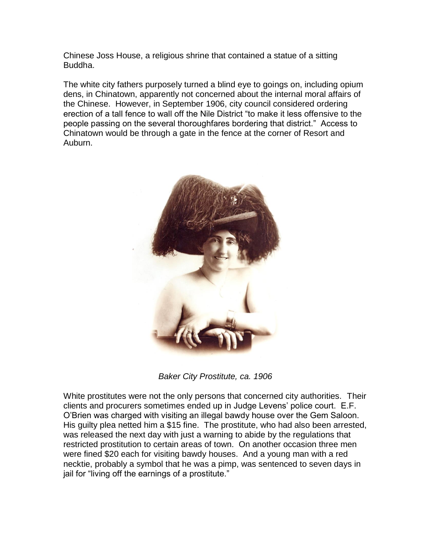Chinese Joss House, a religious shrine that contained a statue of a sitting Buddha.

The white city fathers purposely turned a blind eye to goings on, including opium dens, in Chinatown, apparently not concerned about the internal moral affairs of the Chinese. However, in September 1906, city council considered ordering erection of a tall fence to wall off the Nile District "to make it less offensive to the people passing on the several thoroughfares bordering that district." Access to Chinatown would be through a gate in the fence at the corner of Resort and Auburn.



*Baker City Prostitute, ca. 1906*

White prostitutes were not the only persons that concerned city authorities. Their clients and procurers sometimes ended up in Judge Levens' police court. E.F. O'Brien was charged with visiting an illegal bawdy house over the Gem Saloon. His guilty plea netted him a \$15 fine. The prostitute, who had also been arrested, was released the next day with just a warning to abide by the regulations that restricted prostitution to certain areas of town. On another occasion three men were fined \$20 each for visiting bawdy houses. And a young man with a red necktie, probably a symbol that he was a pimp, was sentenced to seven days in jail for "living off the earnings of a prostitute."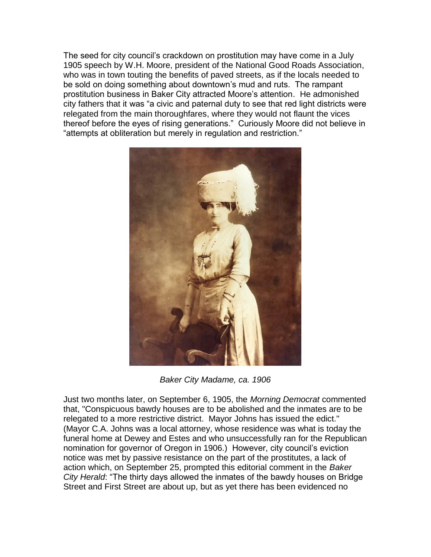The seed for city council's crackdown on prostitution may have come in a July 1905 speech by W.H. Moore, president of the National Good Roads Association, who was in town touting the benefits of paved streets, as if the locals needed to be sold on doing something about downtown's mud and ruts. The rampant prostitution business in Baker City attracted Moore's attention. He admonished city fathers that it was "a civic and paternal duty to see that red light districts were relegated from the main thoroughfares, where they would not flaunt the vices thereof before the eyes of rising generations." Curiously Moore did not believe in "attempts at obliteration but merely in regulation and restriction."



*Baker City Madame, ca. 1906*

Just two months later, on September 6, 1905, the *Morning Democrat* commented that, "Conspicuous bawdy houses are to be abolished and the inmates are to be relegated to a more restrictive district. Mayor Johns has issued the edict." (Mayor C.A. Johns was a local attorney, whose residence was what is today the funeral home at Dewey and Estes and who unsuccessfully ran for the Republican nomination for governor of Oregon in 1906.) However, city council's eviction notice was met by passive resistance on the part of the prostitutes, a lack of action which, on September 25, prompted this editorial comment in the *Baker City Herald*: "The thirty days allowed the inmates of the bawdy houses on Bridge Street and First Street are about up, but as yet there has been evidenced no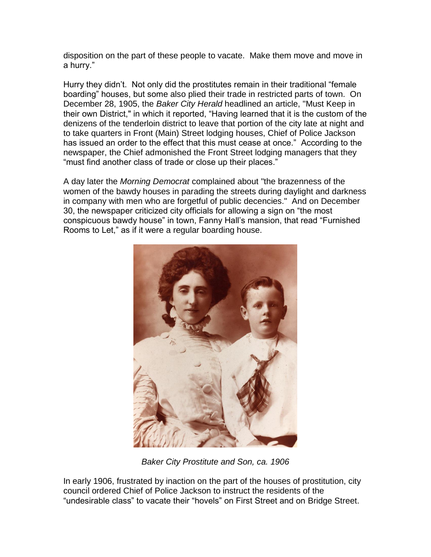disposition on the part of these people to vacate. Make them move and move in a hurry."

Hurry they didn't. Not only did the prostitutes remain in their traditional "female boarding" houses, but some also plied their trade in restricted parts of town. On December 28, 1905, the *Baker City Herald* headlined an article, "Must Keep in their own District," in which it reported, "Having learned that it is the custom of the denizens of the tenderloin district to leave that portion of the city late at night and to take quarters in Front (Main) Street lodging houses, Chief of Police Jackson has issued an order to the effect that this must cease at once." According to the newspaper, the Chief admonished the Front Street lodging managers that they "must find another class of trade or close up their places."

A day later the *Morning Democrat* complained about "the brazenness of the women of the bawdy houses in parading the streets during daylight and darkness in company with men who are forgetful of public decencies." And on December 30, the newspaper criticized city officials for allowing a sign on "the most conspicuous bawdy house" in town, Fanny Hall's mansion, that read "Furnished Rooms to Let," as if it were a regular boarding house.



*Baker City Prostitute and Son, ca. 1906*

In early 1906, frustrated by inaction on the part of the houses of prostitution, city council ordered Chief of Police Jackson to instruct the residents of the "undesirable class" to vacate their "hovels" on First Street and on Bridge Street.